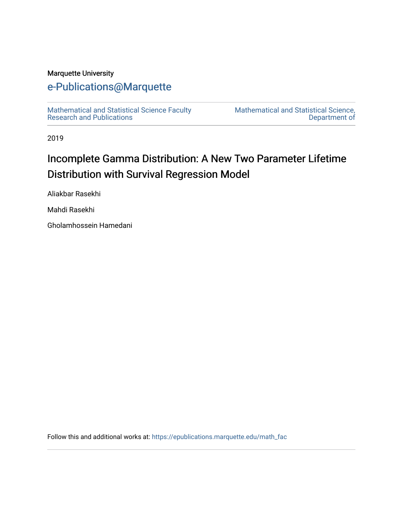## Marquette University

## [e-Publications@Marquette](https://epublications.marquette.edu/)

[Mathematical and Statistical Science Faculty](https://epublications.marquette.edu/math_fac)  [Research and Publications](https://epublications.marquette.edu/math_fac) 

[Mathematical and Statistical Science,](https://epublications.marquette.edu/math)  [Department of](https://epublications.marquette.edu/math) 

2019

# Incomplete Gamma Distribution: A New Two Parameter Lifetime Distribution with Survival Regression Model

Aliakbar Rasekhi

Mahdi Rasekhi

Gholamhossein Hamedani

Follow this and additional works at: [https://epublications.marquette.edu/math\\_fac](https://epublications.marquette.edu/math_fac?utm_source=epublications.marquette.edu%2Fmath_fac%2F76&utm_medium=PDF&utm_campaign=PDFCoverPages)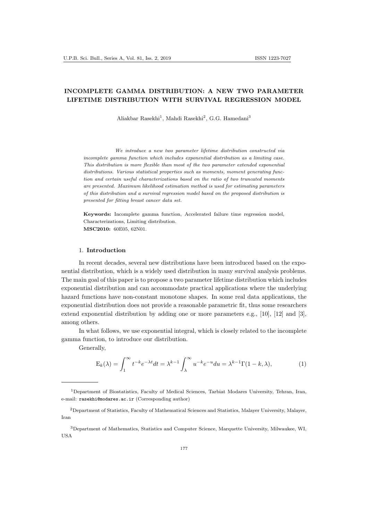### INCOMPLETE GAMMA DISTRIBUTION: A NEW TWO PARAMETER LIFETIME DISTRIBUTION WITH SURVIVAL REGRESSION MODEL

Aliakbar Rasekhi<sup>1</sup>, Mahdi Rasekhi<sup>2</sup>, G.G. Hamedani<sup>3</sup>

We introduce a new two parameter lifetime distribution constructed via incomplete gamma function which includes exponential distribution as a limiting case. This distribution is more flexible than most of the two parameter extended exponential distributions. Various statistical properties such as moments, moment generating function and certain useful characterizations based on the ratio of two truncated moments are presented. Maximum likelihood estimation method is used for estimating parameters of this distribution and a survival regression model based on the proposed distribution is presented for fitting breast cancer data set.

Keywords: Incomplete gamma function, Accelerated failure time regression model, Characterizations, Limiting distribution. MSC2010: 60E05, 62N01.

#### 1. Introduction

In recent decades, several new distributions have been introduced based on the exponential distribution, which is a widely used distribution in many survival analysis problems. The main goal of this paper is to propose a two parameter lifetime distribution which includes exponential distribution and can accommodate practical applications where the underlying hazard functions have non-constant monotone shapes. In some real data applications, the exponential distribution does not provide a reasonable parametric fit, thus some researchers extend exponential distribution by adding one or more parameters e.g., [10], [12] and [3], among others.

In what follows, we use exponential integral, which is closely related to the incomplete gamma function, to introduce our distribution.

Generally,

$$
E_k(\lambda) = \int_1^\infty t^{-k} e^{-\lambda t} dt = \lambda^{k-1} \int_\lambda^\infty u^{-k} e^{-u} du = \lambda^{k-1} \Gamma(1 - k, \lambda),\tag{1}
$$

<sup>1</sup>Department of Biostatistics, Faculty of Medical Sciences, Tarbiat Modares University, Tehran, Iran, e-mail: rasekhi@modares.ac.ir (Corresponding author)

<sup>2</sup>Department of Statistics, Faculty of Mathematical Sciences and Statistics, Malayer University, Malayer, Iran

<sup>3</sup>Department of Mathematics, Statistics and Computer Science, Marquette University, Milwaukee, WI, USA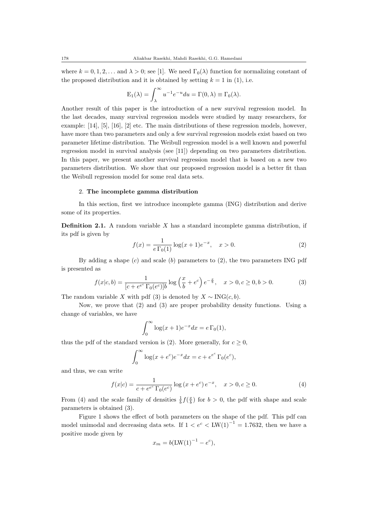where  $k = 0, 1, 2, \ldots$  and  $\lambda > 0$ ; see [1]. We need  $\Gamma_0(\lambda)$  function for normalizing constant of the proposed distribution and it is obtained by setting  $k = 1$  in (1), i.e.

$$
E_1(\lambda) = \int_{\lambda}^{\infty} u^{-1} e^{-u} du = \Gamma(0, \lambda) \equiv \Gamma_0(\lambda).
$$

Another result of this paper is the introduction of a new survival regression model. In the last decades, many survival regression models were studied by many researchers, for example: [14], [5], [16], [2] etc. The main distributions of these regression models, however, have more than two parameters and only a few survival regression models exist based on two parameter lifetime distribution. The Weibull regression model is a well known and powerful regression model in survival analysis (see [11]) depending on two parameters distribution. In this paper, we present another survival regression model that is based on a new two parameters distribution. We show that our proposed regression model is a better fit than the Weibull regression model for some real data sets.

#### 2. The incomplete gamma distribution

In this section, first we introduce incomplete gamma (ING) distribution and derive some of its properties.

**Definition 2.1.** A random variable  $X$  has a standard incomplete gamma distribution, if its pdf is given by

$$
f(x) = \frac{1}{e \Gamma_0(1)} \log(x+1) e^{-x}, \quad x > 0.
$$
 (2)

By adding a shape  $(c)$  and scale  $(b)$  parameters to  $(2)$ , the two parameters ING pdf is presented as

$$
f(x|c, b) = \frac{1}{[c + e^{e^c} \Gamma_0(e^c)]b} \log\left(\frac{x}{b} + e^c\right) e^{-\frac{x}{b}}, \quad x > 0, c \ge 0, b > 0.
$$
 (3)

The random variable X with pdf (3) is denoted by  $X \sim \text{ING}(c, b)$ .

Now, we prove that (2) and (3) are proper probability density functions. Using a change of variables, we have

$$
\int_0^\infty \log(x+1)e^{-x}dx = e\,\Gamma_0(1),
$$

thus the pdf of the standard version is (2). More generally, for  $c \geq 0$ ,

$$
\int_0^{\infty} \log(x + e^c) e^{-x} dx = c + e^{e^c} \Gamma_0(e^c),
$$

and thus, we can write

$$
f(x|c) = \frac{1}{c + e^{e^c} \Gamma_0(e^c)} \log (x + e^c) e^{-x}, \quad x > 0, c \ge 0.
$$
 (4)

From (4) and the scale family of densities  $\frac{1}{b} f(\frac{x}{b})$  for  $b > 0$ , the pdf with shape and scale parameters is obtained (3).

Figure 1 shows the effect of both parameters on the shape of the pdf. This pdf can model unimodal and decreasing data sets. If  $1 < e^c < LW(1)^{-1} = 1.7632$ , then we have a positive mode given by

$$
x_m = b(\text{LW}(1)^{-1} - e^c),
$$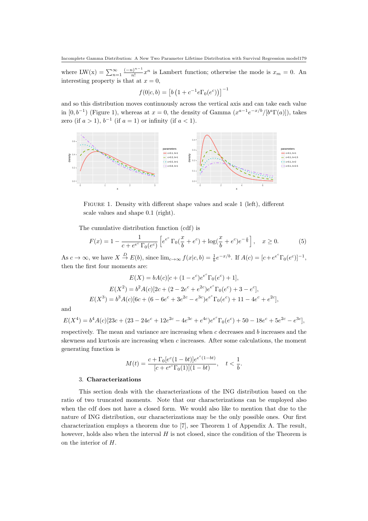where LW(x) =  $\sum_{n=1}^{\infty} \frac{(-n)^{n-1}}{n!}$  $\frac{x^{n-1}}{n!}x^n$  is Lambert function; otherwise the mode is  $x_m = 0$ . An interesting property is that at  $x = 0$ ,

$$
f(0|c, b) = [b (1 + c^{-1} e \Gamma_0(e^c))]^{-1}
$$

and so this distribution moves continuously across the vertical axis and can take each value in  $[0,b^{-1})$  (Figure 1), whereas at  $x=0$ , the density of Gamma  $(x^{a-1}e^{-x/b}/[b^a\Gamma(a)])$ , takes zero (if  $a > 1$ ),  $b^{-1}$  (if  $a = 1$ ) or infinity (if  $a < 1$ ).



Figure 1. Density with different shape values and scale 1 (left), different scale values and shape 0.1 (right).

The cumulative distribution function (cdf) is

$$
F(x) = 1 - \frac{1}{c + e^{e^c} \Gamma_0(e^c)} \left[ e^{e^c} \Gamma_0(\frac{x}{b} + e^c) + \log(\frac{x}{b} + e^c) e^{-\frac{x}{b}} \right], \quad x \ge 0.
$$
 (5)

As  $c \to \infty$ , we have  $X \stackrel{D}{\to} E(b)$ , since  $\lim_{c \to \infty} f(x|c, b) = \frac{1}{b} e^{-x/b}$ . If  $A(c) = [c + e^{c^c} \Gamma_0(e^c)]^{-1}$ , then the first four moments are:

$$
E(X) = bA(c)[c + (1 - e^c)e^{e^c}\Gamma_0(e^c) + 1],
$$
  
\n
$$
E(X^2) = b^2A(c)[2c + (2 - 2e^c + e^{2c})e^{e^c}\Gamma_0(e^c) + 3 - e^c],
$$
  
\n
$$
E(X^3) = b^3A(c)[6c + (6 - 6e^c + 3e^{2c} - e^{3c})e^{e^c}\Gamma_0(e^c) + 11 - 4e^c + e^{2c}],
$$

and

$$
E(X^{4}) = b^{4}A(c)[23c + (23 - 24e^{c} + 12e^{2c} - 4e^{3c} + e^{4c})e^{e^{c}}\Gamma_{0}(e^{c}) + 50 - 18e^{c} + 5e^{2c} - e^{3c}],
$$

respectively. The mean and variance are increasing when  $c$  decreases and  $b$  increases and the skewness and kurtosis are increasing when  $c$  increases. After some calculations, the moment generating function is

$$
M(t) = \frac{c + \Gamma_0[e^c(1 - bt)]e^{e^c(1 - bt)}}{[c + e^{e^c}\Gamma_0(1)](1 - bt)}, \quad t < \frac{1}{b}.
$$

#### 3. Characterizations

This section deals with the characterizations of the ING distribution based on the ratio of two truncated moments. Note that our characterizations can be employed also when the cdf does not have a closed form. We would also like to mention that due to the nature of ING distribution, our characterizations may be the only possible ones. Our first characterization employs a theorem due to [7], see Theorem 1 of Appendix A. The result, however, holds also when the interval  $H$  is not closed, since the condition of the Theorem is on the interior of H.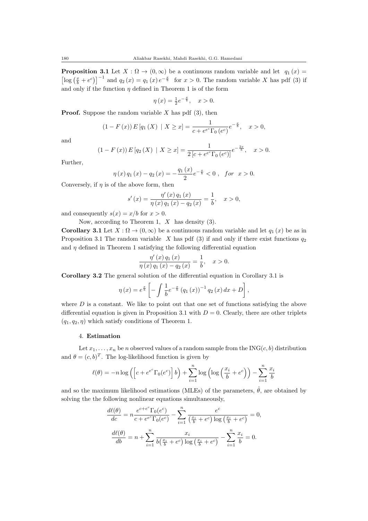**Proposition 3.1** Let  $X : \Omega \to (0, \infty)$  be a continuous random variable and let  $q_1(x) =$  $\left[\log\left(\frac{x}{b}+e^c\right)\right]^{-1}$  and  $q_2(x)=q_1(x)e^{-\frac{x}{b}}$  for  $x>0$ . The random variable X has pdf (3) if and only if the function  $\eta$  defined in Theorem 1 is of the form

$$
\eta(x) = \frac{1}{2}e^{-\frac{x}{b}}, \quad x > 0.
$$

**Proof.** Suppose the random variable X has pdf  $(3)$ , then

$$
(1 - F(x)) E [q_1(X) | X \ge x] = \frac{1}{c + e^{e^c} \Gamma_0 (e^c)} e^{-\frac{x}{b}}, \quad x > 0,
$$

and

$$
(1 - F(x)) E [q_2(X) | X \ge x] = \frac{1}{2 [c + e^{e^c} \Gamma_0 (e^c)]} e^{-\frac{2x}{b}}, \quad x > 0.
$$

Further,

$$
\eta(x) q_1(x) - q_2(x) = -\frac{q_1(x)}{2} e^{-\frac{x}{b}} < 0 , \text{ for } x > 0.
$$

Conversely, if  $\eta$  is of the above form, then

$$
s'(x) = \frac{\eta'(x) q_1(x)}{\eta(x) q_1(x) - q_2(x)} = \frac{1}{b}, \quad x > 0,
$$

and consequently  $s(x) = x/b$  for  $x > 0$ .

Now, according to Theorem 1,  $X$  has density (3).

Corollary 3.1 Let  $X : \Omega \to (0, \infty)$  be a continuous random variable and let  $q_1(x)$  be as in Proposition 3.1 The random variable  $X$  has pdf (3) if and only if there exist functions  $q_2$ and  $\eta$  defined in Theorem 1 satisfying the following differential equation

$$
\frac{\eta'(x) q_1(x)}{\eta(x) q_1(x) - q_2(x)} = \frac{1}{b}, \quad x > 0.
$$

Corollary 3.2 The general solution of the differential equation in Corollary 3.1 is

$$
\eta(x) = e^{\frac{x}{b}} \left[ - \int \frac{1}{b} e^{-\frac{x}{b}} (q_1(x))^{-1} q_2(x) dx + D \right],
$$

where  $D$  is a constant. We like to point out that one set of functions satisfying the above differential equation is given in Proposition 3.1 with  $D = 0$ . Clearly, there are other triplets  $(q_1, q_2, \eta)$  which satisfy conditions of Theorem 1.

#### 4. Estimation

Let  $x_1, \ldots, x_n$  be n observed values of a random sample from the ING(c, b) distribution and  $\theta = (c, b)^T$ . The log-likelihood function is given by

$$
\ell(\theta) = -n \log \left( \left[ c + e^{e^c} \Gamma_0(e^c) \right] b \right) + \sum_{i=1}^n \log \left( \log \left( \frac{x_i}{b} + e^c \right) \right) - \sum_{i=1}^n \frac{x_i}{b}
$$

and so the maximum likelihood estimations (MLEs) of the parameters,  $\hat{\theta}$ , are obtained by solving the the following nonlinear equations simultaneously,

$$
\frac{d\ell(\theta)}{dc} = n \frac{e^{c+e^c} \Gamma_0(e^c)}{c+e^{e^c} \Gamma_0(e^c)} - \sum_{i=1}^n \frac{e^c}{\left(\frac{x_i}{b}+e^c\right) \log\left(\frac{x_i}{b}+e^c\right)} = 0,
$$

$$
\frac{d\ell(\theta)}{db} = n + \sum_{i=1}^n \frac{x_i}{b\left(\frac{x_i}{b}+e^c\right) \log\left(\frac{x_i}{b}+e^c\right)} - \sum_{i=1}^n \frac{x_i}{b} = 0.
$$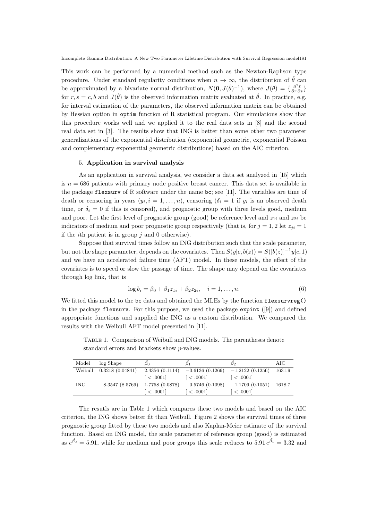This work can be performed by a numerical method such as the Newton-Raphson type procedure. Under standard regularity conditions when  $n \to \infty$ , the distribution of  $\hat{\theta}$  can be approximated by a bivariate normal distribution,  $N(\mathbf{0}, J(\hat{\theta})^{-1})$ , where  $J(\theta) = \{\frac{\partial^2 \ell}{\partial r \partial s}\}$ for  $r, s = c, b$  and  $J(\hat{\theta})$  is the observed information matrix evaluated at  $\hat{\theta}$ . In practice, e.g. for interval estimation of the parameters, the observed information matrix can be obtained by Hessian option in optim function of R statistical program. Our simulations show that this procedure works well and we applied it to the real data sets in [8] and the second real data set in [3]. The results show that ING is better than some other two parameter generalizations of the exponential distribution (exponential geometric, exponential Poisson and complementary exponential geometric distributions) based on the AIC criterion.

#### 5. Application in survival analysis

As an application in survival analysis, we consider a data set analyzed in [15] which is  $n = 686$  patients with primary node positive breast cancer. This data set is available in the package flexsurv of R software under the name bc; see [11]. The variables are time of death or censoring in years  $(y_i, i = 1, \ldots, n)$ , censoring  $(\delta_i = 1$  if  $y_i$  is an observed death time, or  $\delta_i = 0$  if this is censored), and prognostic group with three levels good, medium and poor. Let the first level of prognostic group (good) be reference level and  $z_{1i}$  and  $z_{2i}$  be indicators of medium and poor prognostic group respectively (that is, for  $j = 1, 2$  let  $z_{ji} = 1$ if the *i*th patient is in group  $j$  and 0 otherwise).

Suppose that survival times follow an ING distribution such that the scale parameter, but not the shape parameter, depends on the covariates. Then  $S(y|c, b(z)) = S([b(z)]^{-1}y|c, 1)$ and we have an accelerated failure time (AFT) model. In these models, the effect of the covariates is to speed or slow the passage of time. The shape may depend on the covariates through log link, that is

$$
\log b_i = \beta_0 + \beta_1 z_{1i} + \beta_2 z_{2i}, \quad i = 1, \dots, n. \tag{6}
$$

We fitted this model to the bc data and obtained the MLEs by the function flexsurvreg() in the package flexsurv. For this purpose, we used the package expint ([9]) and defined appropriate functions and supplied the ING as a custom distribution. We compared the results with the Weibull AFT model presented in [11].

Model log Shape  $\hat{\beta_0}$  $\hat{\beta}_0$   $\hat{\beta}_1$  $\hat{\beta}_1$   $\hat{\beta}_2$  $\hat{\beta}_2$  AIC Weibull 0.3218 (0.04841) 2.4356 (0.1114) −0.6136 (0.1269) −1.2122 (0.1256) 1631.9  $\vert$  < .0001]  $\vert$  < .0001]  $\vert$  < .0001] ING −8.3547 (8.5769) 1.7758 (0.0878) −0.5746 (0.1098) −1.1709 (0.1051) 1618.7  $\vert < .0001 \vert$   $\vert < .0001 \vert$   $\vert < .0001 \vert$ 

Table 1. Comparison of Weibull and ING models. The parentheses denote standard errors and brackets show p-values.

The resutls are in Table 1 which compares these two models and based on the AIC criterion, the ING shows better fit than Weibull. Figure 2 shows the survival times of three prognostic group fitted by these two models and also Kaplan-Meier estimate of the survival function. Based on ING model, the scale parameter of reference group (good) is estimated as  $e^{\hat{\beta}_0} = 5.91$ , while for medium and poor groups this scale reduces to  $5.91 e^{\hat{\beta}_1} = 3.32$  and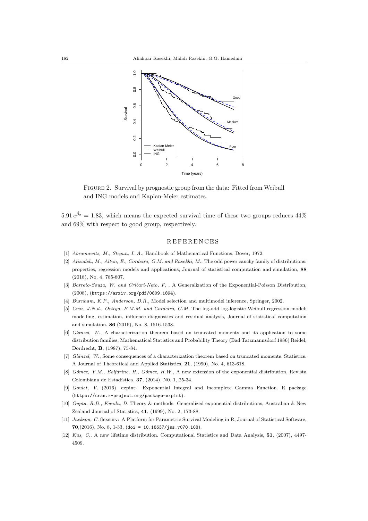

Figure 2. Survival by prognostic group from the data: Fitted from Weibull and ING models and Kaplan-Meier estimates.

 $5.91 e^{\hat{\beta}_2} = 1.83$ , which means the expected survival time of these two groups reduces  $44\%$ and 69% with respect to good group, respectively.

#### **REFERENCES**

- [1] Abramowitz, M., Stegun, I. A., Handbook of Mathematical Functions, Dover, 1972.
- [2] Alizadeh, M., Altun, E., Cordeiro, G.M. and Rasekhi, M., The odd power cauchy family of distributions: properties, regression models and applications, Journal of statistical computation and simulation, 88 (2018), No. 4, 785-807.
- [3] Barreto-Souza, W. and Cribari-Neto, F., A Generalization of the Exponential-Poisson Distribution, (2008), (https://arxiv.org/pdf/0809.1894).
- [4] Burnham, K.P., Anderson, D.R., Model selection and multimodel inference, Springer, 2002.
- [5] Cruz, J.N.d., Ortega, E.M.M. and Cordeiro, G.M. The log-odd log-logistic Weibull regression model: modelling, estimation, influence diagnostics and residual analysis, Journal of statistical computation and simulation. 86 (2016), No. 8, 1516-1538.
- [6] Glänzel, W., A characterization theorem based on truncated moments and its application to some distribution families, Mathematical Statistics and Probability Theory (Bad Tatzmannsdorf 1986) Reidel, Dordrecht, B, (1987), 75-84.
- [7] Glänzel, W., Some consequences of a characterization theorem based on truncated moments. Statistics: A Journal of Theoretical and Applied Statistics, 21, (1990), No. 4, 613-618.
- [8] Gómez, Y.M., Bolfarine, H., Gómez, H.W., A new extension of the exponential distribution, Revista Colombiana de Estadística, 37, (2014), No. 1, 25-34.
- [9] Goulet, V. (2016). expint: Exponential Integral and Incomplete Gamma Function. R package (https://cran.r-project.org/package=expint).
- [10] Gupta, R.D., Kundu, D. Theory & methods: Generalized exponential distributions, Australian & New Zealand Journal of Statistics, 41, (1999), No. 2, 173-88.
- [11] Jackson, C. flexsurv: A Platform for Parametric Survival Modeling in R, Journal of Statistical Software, 70,(2016), No. 8, 1-33, (doi = 10.18637/jss.v070.i08).
- [12] Kus, C., A new lifetime distribution. Computational Statistics and Data Analysis, 51, (2007), 4497- 4509.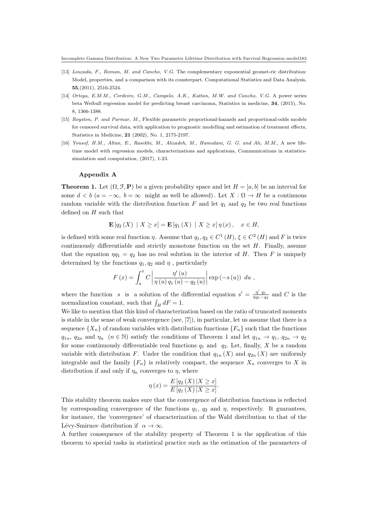- [13] Louzada, F., Roman, M. and Cancho, V.G. The complementary exponential geomet-ric distribution: Model, properties, and a comparison with its counterpart. Computational Statistics and Data Analysis, 55,(2011), 2516-2524.
- [14] Ortega, E.M.M., Cordeiro, G.M., Campelo, A.K., Kattan, M.W. and Cancho, V.G. A power series beta Weibull regression model for predicting breast carcinoma, Statistics in medicine, 34, (2015), No. 8, 1366-1388.
- [15] Royston, P. and Parmar, M., Flexible parametric proportional-hazards and proportional-odds models for censored survival data, with application to prognostic modelling and estimation of treatment effects, Statistics in Medicine, 21 (2002), No. 1, 2175-2197.
- [16] Yousof, H.M., Altun, E., Rasekhi, M., Alizadeh, M., Hamedani, G. G. and Ali, M.M., A new lifetime model with regression models, characterizations and applications, Communications in statisticssimulation and computation, (2017), 1-23.

#### Appendix A

**Theorem 1.** Let  $(\Omega, \mathcal{F}, P)$  be a given probability space and let  $H = [a, b]$  be an interval for some  $d < b$  ( $a = -\infty$ ,  $b = \infty$  might as well be allowed). Let  $X : \Omega \to H$  be a continuous random variable with the distribution function F and let  $q_1$  and  $q_2$  be two real functions defined on  $H$  such that

$$
\mathbf{E}[q_2(X) | X \ge x] = \mathbf{E}[q_1(X) | X \ge x] \eta(x), \quad x \in H,
$$

is defined with some real function  $\eta$ . Assume that  $q_1, q_2 \in C^1(H)$ ,  $\xi \in C^2(H)$  and F is twice continuously differentiable and strictly monotone function on the set  $H$ . Finally, assume that the equation  $\eta q_1 = q_2$  has no real solution in the interior of H. Then F is uniquely determined by the functions  $q_1, q_2$  and  $\eta$ , particularly

$$
F(x) = \int_{a}^{x} C \left| \frac{\eta'(u)}{\eta(u) q_1(u) - q_2(u)} \right| \exp(-s(u)) du,
$$

where the function s is a solution of the differential equation  $s' = \frac{\eta' q_1}{\eta q_1 - q_2}$  and C is the normalization constant, such that  $\int_H dF = 1$ .

We like to mention that this kind of characterization based on the ratio of truncated moments is stable in the sense of weak convergence (see, [7]), in particular, let us assume that there is a sequence  ${X_n}$  of random variables with distribution functions  ${F_n}$  such that the functions  $q_{1n}, q_{2n}$  and  $\eta_n$   $(n \in \mathbb{N})$  satisfy the conditions of Theorem 1 and let  $q_{1n} \to q_1, q_{2n} \to q_2$ for some continuously differentiable real functions  $q_1$  and  $q_2$ . Let, finally, X be a random variable with distribution F. Under the condition that  $q_{1n}(X)$  and  $q_{2n}(X)$  are uniformly integrable and the family  ${F_n}$  is relatively compact, the sequence  $X_n$  converges to X in distribution if and only if  $\eta_n$  converges to  $\eta$ , where

$$
\eta(x) = \frac{E\left[q_2\left(X\right)|X \ge x\right]}{E\left[q_1\left(X\right)|X \ge x\right]}.
$$

This stability theorem makes sure that the convergence of distribution functions is reflected by corresponding convergence of the functions  $q_1$ ,  $q_2$  and  $\eta$ , respectively. It guarantees, for instance, the 'convergence' of characterization of the Wald distribution to that of the Lévy-Smirnov distribution if  $\alpha \to \infty$ .

A further consequence of the stability property of Theorem 1 is the application of this theorem to special tasks in statistical practice such as the estimation of the parameters of